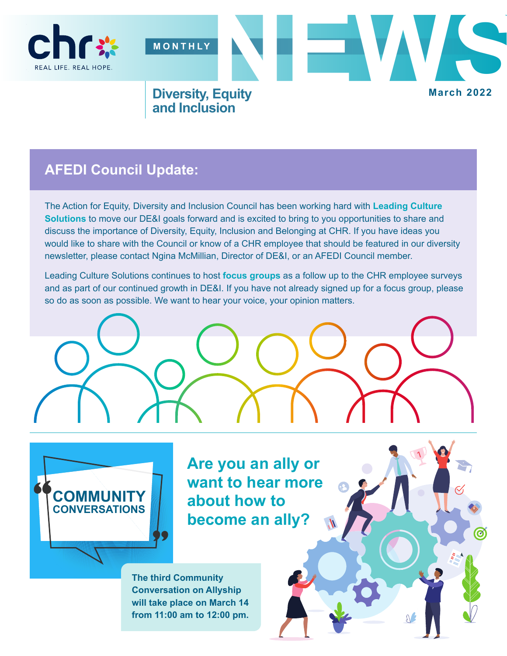

## **AFEDI Council Update:**

The Action for Equity, Diversity and Inclusion Council has been working hard with **Leading Culture Solutions** to move our DE&I goals forward and is excited to bring to you opportunities to share and discuss the importance of Diversity, Equity, Inclusion and Belonging at CHR. If you have ideas you would like to share with the Council or know of a CHR employee that should be featured in our diversity newsletter, please contact Ngina McMillian, Director of DE&I, or an AFEDI Council member.

Leading Culture Solutions continues to host **focus groups** as a follow up to the CHR employee surveys and as part of our continued growth in DE&I. If you have not already signed up for a focus group, please so do as soon as possible. We want to hear your voice, your opinion matters.





**Are you an ally or want to hear more about how to become an ally?**

**The third Community Conversation on Allyship will take place on March 14 from 11:00 am to 12:00 pm.**